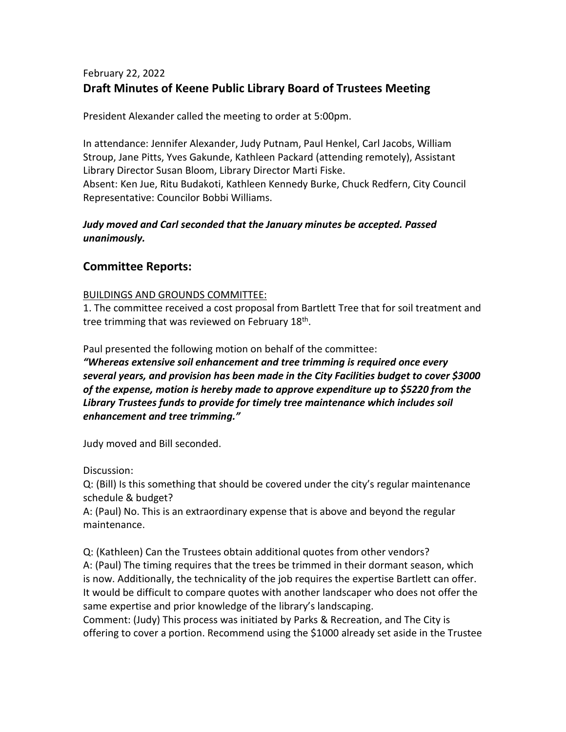# February 22, 2022 **Draft Minutes of Keene Public Library Board of Trustees Meeting**

President Alexander called the meeting to order at 5:00pm.

In attendance: Jennifer Alexander, Judy Putnam, Paul Henkel, Carl Jacobs, William Stroup, Jane Pitts, Yves Gakunde, Kathleen Packard (attending remotely), Assistant Library Director Susan Bloom, Library Director Marti Fiske. Absent: Ken Jue, Ritu Budakoti, Kathleen Kennedy Burke, Chuck Redfern, City Council Representative: Councilor Bobbi Williams.

# *Judy moved and Carl seconded that the January minutes be accepted. Passed unanimously.*

# **Committee Reports:**

## BUILDINGS AND GROUNDS COMMITTEE:

1. The committee received a cost proposal from Bartlett Tree that for soil treatment and tree trimming that was reviewed on February 18<sup>th</sup>.

Paul presented the following motion on behalf of the committee:

*"Whereas extensive soil enhancement and tree trimming is required once every several years, and provision has been made in the City Facilities budget to cover \$3000 of the expense, motion is hereby made to approve expenditure up to \$5220 from the Library Trustees funds to provide for timely tree maintenance which includes soil enhancement and tree trimming."*

Judy moved and Bill seconded.

Discussion:

Q: (Bill) Is this something that should be covered under the city's regular maintenance schedule & budget?

A: (Paul) No. This is an extraordinary expense that is above and beyond the regular maintenance.

Q: (Kathleen) Can the Trustees obtain additional quotes from other vendors? A: (Paul) The timing requires that the trees be trimmed in their dormant season, which is now. Additionally, the technicality of the job requires the expertise Bartlett can offer. It would be difficult to compare quotes with another landscaper who does not offer the same expertise and prior knowledge of the library's landscaping.

Comment: (Judy) This process was initiated by Parks & Recreation, and The City is offering to cover a portion. Recommend using the \$1000 already set aside in the Trustee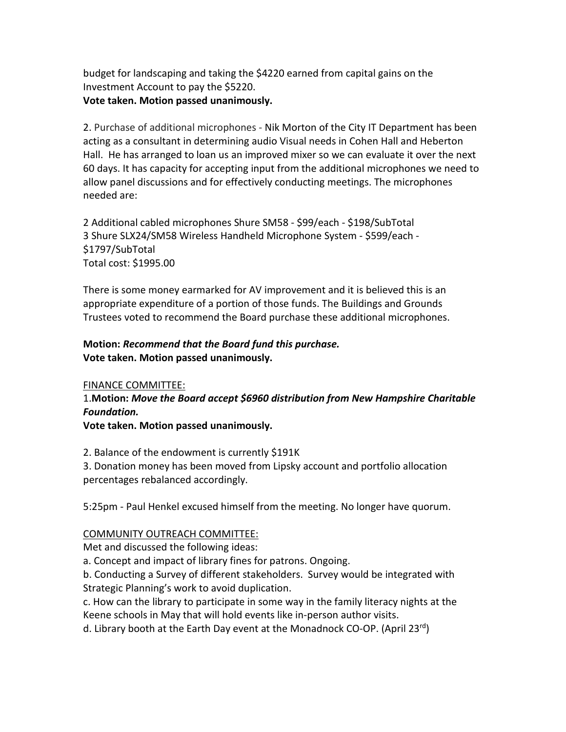budget for landscaping and taking the \$4220 earned from capital gains on the Investment Account to pay the \$5220. **Vote taken. Motion passed unanimously.**

2. Purchase of additional microphones - Nik Morton of the City IT Department has been acting as a consultant in determining audio Visual needs in Cohen Hall and Heberton Hall. He has arranged to loan us an improved mixer so we can evaluate it over the next 60 days. It has capacity for accepting input from the additional microphones we need to allow panel discussions and for effectively conducting meetings. The microphones needed are:

2 Additional cabled microphones Shure SM58 - \$99/each - \$198/SubTotal 3 Shure SLX24/SM58 Wireless Handheld Microphone System - \$599/each - \$1797/SubTotal Total cost: \$1995.00

There is some money earmarked for AV improvement and it is believed this is an appropriate expenditure of a portion of those funds. The Buildings and Grounds Trustees voted to recommend the Board purchase these additional microphones.

# **Motion:** *Recommend that the Board fund this purchase.* **Vote taken. Motion passed unanimously.**

## FINANCE COMMITTEE:

1.**Motion:** *Move the Board accept \$6960 distribution from New Hampshire Charitable Foundation.*

**Vote taken. Motion passed unanimously.**

2. Balance of the endowment is currently \$191K

3. Donation money has been moved from Lipsky account and portfolio allocation percentages rebalanced accordingly.

5:25pm - Paul Henkel excused himself from the meeting. No longer have quorum.

## COMMUNITY OUTREACH COMMITTEE:

Met and discussed the following ideas:

a. Concept and impact of library fines for patrons. Ongoing.

b. Conducting a Survey of different stakeholders. Survey would be integrated with Strategic Planning's work to avoid duplication.

c. How can the library to participate in some way in the family literacy nights at the Keene schools in May that will hold events like in-person author visits.

d. Library booth at the Earth Day event at the Monadnock CO-OP. (April 23<sup>rd</sup>)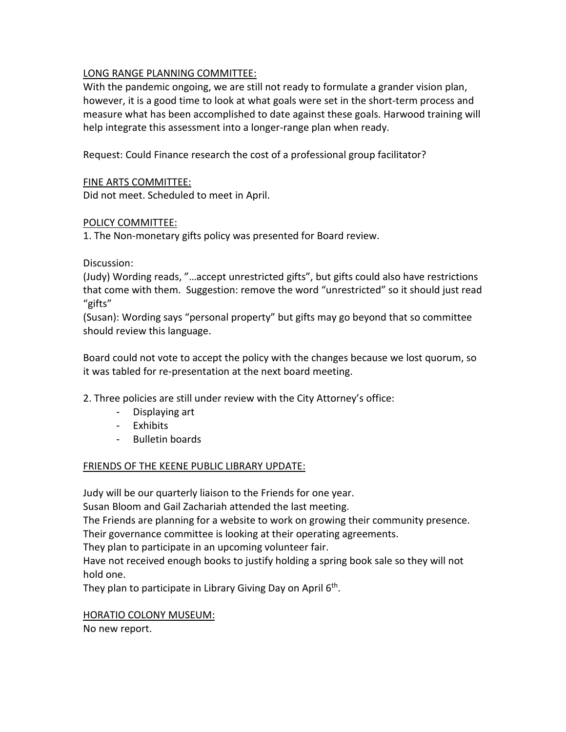## LONG RANGE PLANNING COMMITTEE:

With the pandemic ongoing, we are still not ready to formulate a grander vision plan, however, it is a good time to look at what goals were set in the short-term process and measure what has been accomplished to date against these goals. Harwood training will help integrate this assessment into a longer-range plan when ready.

Request: Could Finance research the cost of a professional group facilitator?

### FINE ARTS COMMITTEE:

Did not meet. Scheduled to meet in April.

#### POLICY COMMITTEE:

1. The Non-monetary gifts policy was presented for Board review.

#### Discussion:

(Judy) Wording reads, "…accept unrestricted gifts", but gifts could also have restrictions that come with them. Suggestion: remove the word "unrestricted" so it should just read "gifts"

(Susan): Wording says "personal property" but gifts may go beyond that so committee should review this language.

Board could not vote to accept the policy with the changes because we lost quorum, so it was tabled for re-presentation at the next board meeting.

2. Three policies are still under review with the City Attorney's office:

- Displaying art
- Exhibits
- Bulletin boards

#### FRIENDS OF THE KEENE PUBLIC LIBRARY UPDATE:

Judy will be our quarterly liaison to the Friends for one year.

Susan Bloom and Gail Zachariah attended the last meeting.

The Friends are planning for a website to work on growing their community presence. Their governance committee is looking at their operating agreements.

They plan to participate in an upcoming volunteer fair.

Have not received enough books to justify holding a spring book sale so they will not hold one.

They plan to participate in Library Giving Day on April  $6<sup>th</sup>$ .

#### HORATIO COLONY MUSEUM:

No new report.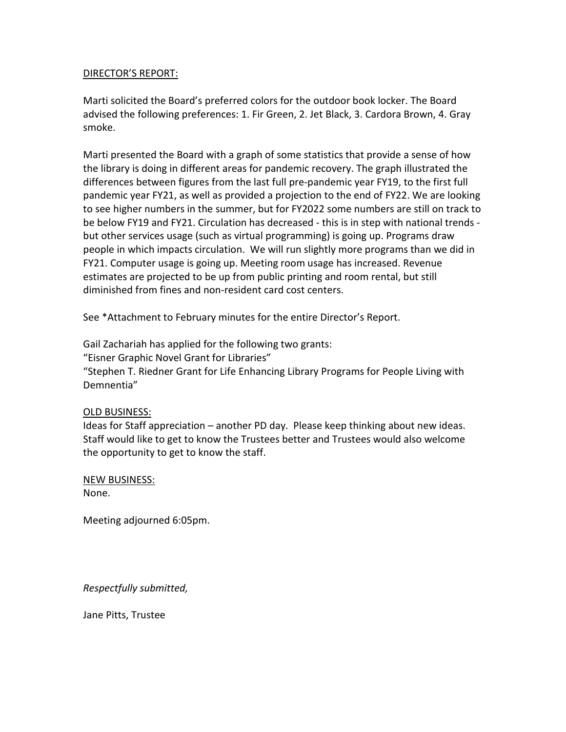#### DIRECTOR'S REPORT:

Marti solicited the Board's preferred colors for the outdoor book locker. The Board advised the following preferences: 1. Fir Green, 2. Jet Black, 3. Cardora Brown, 4. Gray smoke.

Marti presented the Board with a graph of some statistics that provide a sense of how the library is doing in different areas for pandemic recovery. The graph illustrated the differences between figures from the last full pre-pandemic year FY19, to the first full pandemic year FY21, as well as provided a projection to the end of FY22. We are looking to see higher numbers in the summer, but for FY2022 some numbers are still on track to be below FY19 and FY21. Circulation has decreased - this is in step with national trends but other services usage (such as virtual programming) is going up. Programs draw people in which impacts circulation. We will run slightly more programs than we did in FY21. Computer usage is going up. Meeting room usage has increased. Revenue estimates are projected to be up from public printing and room rental, but still diminished from fines and non-resident card cost centers.

See \*Attachment to February minutes for the entire Director's Report.

Gail Zachariah has applied for the following two grants: "Eisner Graphic Novel Grant for Libraries" "Stephen T. Riedner Grant for Life Enhancing Library Programs for People Living with Demnentia"

#### OLD BUSINESS:

Ideas for Staff appreciation – another PD day. Please keep thinking about new ideas. Staff would like to get to know the Trustees better and Trustees would also welcome the opportunity to get to know the staff.

NEW BUSINESS: None.

Meeting adjourned 6:05pm.

*Respectfully submitted,*

Jane Pitts, Trustee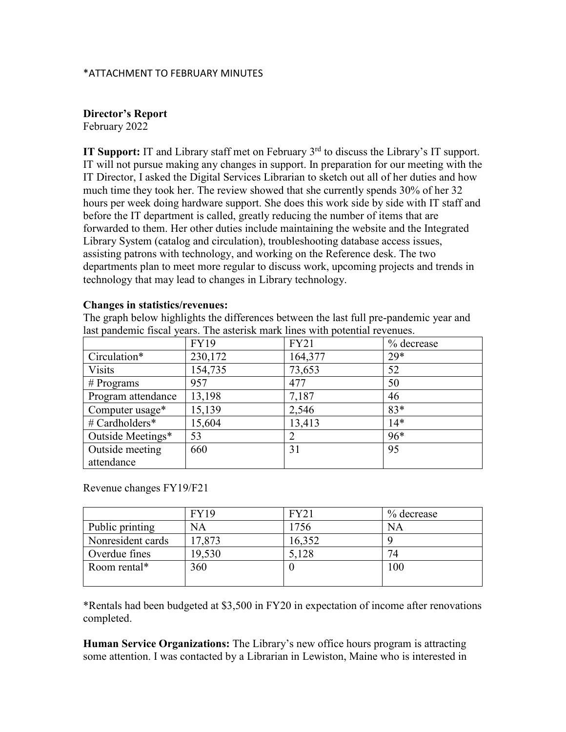#### \*ATTACHMENT TO FEBRUARY MINUTES

#### **Director's Report**

February 2022

**IT Support:** IT and Library staff met on February 3<sup>rd</sup> to discuss the Library's IT support. IT will not pursue making any changes in support. In preparation for our meeting with the IT Director, I asked the Digital Services Librarian to sketch out all of her duties and how much time they took her. The review showed that she currently spends 30% of her 32 hours per week doing hardware support. She does this work side by side with IT staff and before the IT department is called, greatly reducing the number of items that are forwarded to them. Her other duties include maintaining the website and the Integrated Library System (catalog and circulation), troubleshooting database access issues, assisting patrons with technology, and working on the Reference desk. The two departments plan to meet more regular to discuss work, upcoming projects and trends in technology that may lead to changes in Library technology.

#### **Changes in statistics/revenues:**

The graph below highlights the differences between the last full pre-pandemic year and last pandemic fiscal years. The asterisk mark lines with potential revenues.

|                    | <b>FY19</b> | <b>FY21</b> | % decrease |
|--------------------|-------------|-------------|------------|
| Circulation*       | 230,172     | 164,377     | $29*$      |
| <b>Visits</b>      | 154,735     | 73,653      | 52         |
| $#$ Programs       | 957         | 477         | 50         |
| Program attendance | 13,198      | 7,187       | 46         |
| Computer usage*    | 15,139      | 2,546       | $83*$      |
| # Cardholders*     | 15,604      | 13,413      | $14*$      |
| Outside Meetings*  | 53          |             | $96*$      |
| Outside meeting    | 660         | 31          | 95         |
| attendance         |             |             |            |

Revenue changes FY19/F21

|                   | <b>FY19</b> | <b>FY21</b> | % decrease |
|-------------------|-------------|-------------|------------|
| Public printing   | <b>NA</b>   | 1756        | NA         |
| Nonresident cards | 17,873      | 16,352      |            |
| Overdue fines     | 19,530      | 5,128       | 74         |
| Room rental*      | 360         |             | 100        |
|                   |             |             |            |

\*Rentals had been budgeted at \$3,500 in FY20 in expectation of income after renovations completed.

**Human Service Organizations:** The Library's new office hours program is attracting some attention. I was contacted by a Librarian in Lewiston, Maine who is interested in